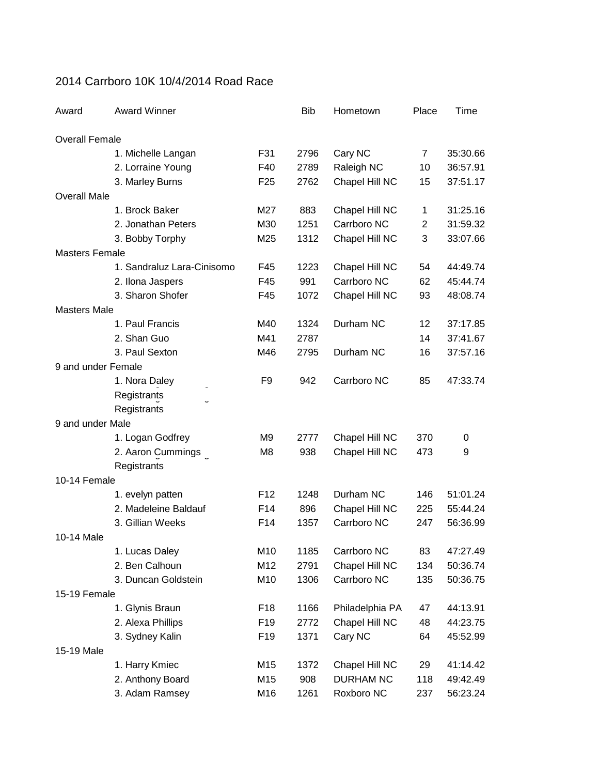## 2014 Carrboro 10K 10/4/2014 Road Race

| Award                 | <b>Award Winner</b>        |                 | <b>Bib</b> | Hometown         | Place | Time     |
|-----------------------|----------------------------|-----------------|------------|------------------|-------|----------|
| <b>Overall Female</b> |                            |                 |            |                  |       |          |
|                       | 1. Michelle Langan         | F31             | 2796       | Cary NC          | 7     | 35:30.66 |
|                       | 2. Lorraine Young          | F40             | 2789       | Raleigh NC       | 10    | 36:57.91 |
|                       | 3. Marley Burns            | F <sub>25</sub> | 2762       | Chapel Hill NC   | 15    | 37:51.17 |
| <b>Overall Male</b>   |                            |                 |            |                  |       |          |
|                       | 1. Brock Baker             | M27             | 883        | Chapel Hill NC   | 1     | 31:25.16 |
|                       | 2. Jonathan Peters         | M30             | 1251       | Carrboro NC      | 2     | 31:59.32 |
|                       | 3. Bobby Torphy            | M25             | 1312       | Chapel Hill NC   | 3     | 33:07.66 |
| <b>Masters Female</b> |                            |                 |            |                  |       |          |
|                       | 1. Sandraluz Lara-Cinisomo | F45             | 1223       | Chapel Hill NC   | 54    | 44:49.74 |
|                       | 2. Ilona Jaspers           | F45             | 991        | Carrboro NC      | 62    | 45:44.74 |
|                       | 3. Sharon Shofer           | F45             | 1072       | Chapel Hill NC   | 93    | 48:08.74 |
| <b>Masters Male</b>   |                            |                 |            |                  |       |          |
|                       | 1. Paul Francis            | M40             | 1324       | Durham NC        | 12    | 37:17.85 |
|                       | 2. Shan Guo                | M41             | 2787       |                  | 14    | 37:41.67 |
|                       | 3. Paul Sexton             | M46             | 2795       | Durham NC        | 16    | 37:57.16 |
| 9 and under Female    |                            |                 |            |                  |       |          |
|                       | 1. Nora Daley              | F <sub>9</sub>  | 942        | Carrboro NC      | 85    | 47:33.74 |
|                       | Registrants                |                 |            |                  |       |          |
|                       | Registrants                |                 |            |                  |       |          |
| 9 and under Male      |                            |                 |            |                  |       |          |
|                       | 1. Logan Godfrey           | M <sub>9</sub>  | 2777       | Chapel Hill NC   | 370   | 0        |
|                       | 2. Aaron Cummings          | M <sub>8</sub>  | 938        | Chapel Hill NC   | 473   | 9        |
|                       | Registrants                |                 |            |                  |       |          |
| 10-14 Female          |                            |                 |            |                  |       |          |
|                       | 1. evelyn patten           | F <sub>12</sub> | 1248       | Durham NC        | 146   | 51:01.24 |
|                       | 2. Madeleine Baldauf       | F14             | 896        | Chapel Hill NC   | 225   | 55:44.24 |
|                       | 3. Gillian Weeks           | F14             | 1357       | Carrboro NC      | 247   | 56:36.99 |
| 10-14 Male            |                            |                 |            |                  |       |          |
|                       | 1. Lucas Daley             | M10             | 1185       | Carrboro NC      | 83    | 47:27.49 |
|                       | 2. Ben Calhoun             | M12             | 2791       | Chapel Hill NC   | 134   | 50:36.74 |
|                       | 3. Duncan Goldstein        | M10             | 1306       | Carrboro NC      | 135   | 50:36.75 |
| 15-19 Female          |                            |                 |            |                  |       |          |
|                       | 1. Glynis Braun            | F <sub>18</sub> | 1166       | Philadelphia PA  | 47    | 44:13.91 |
|                       | 2. Alexa Phillips          | F <sub>19</sub> | 2772       | Chapel Hill NC   | 48    | 44:23.75 |
|                       | 3. Sydney Kalin            | F <sub>19</sub> | 1371       | Cary NC          | 64    | 45:52.99 |
| 15-19 Male            |                            |                 |            |                  |       |          |
|                       | 1. Harry Kmiec             | M15             | 1372       | Chapel Hill NC   | 29    | 41:14.42 |
|                       | 2. Anthony Board           | M15             | 908        | <b>DURHAM NC</b> | 118   | 49:42.49 |
|                       | 3. Adam Ramsey             | M16             | 1261       | Roxboro NC       | 237   | 56:23.24 |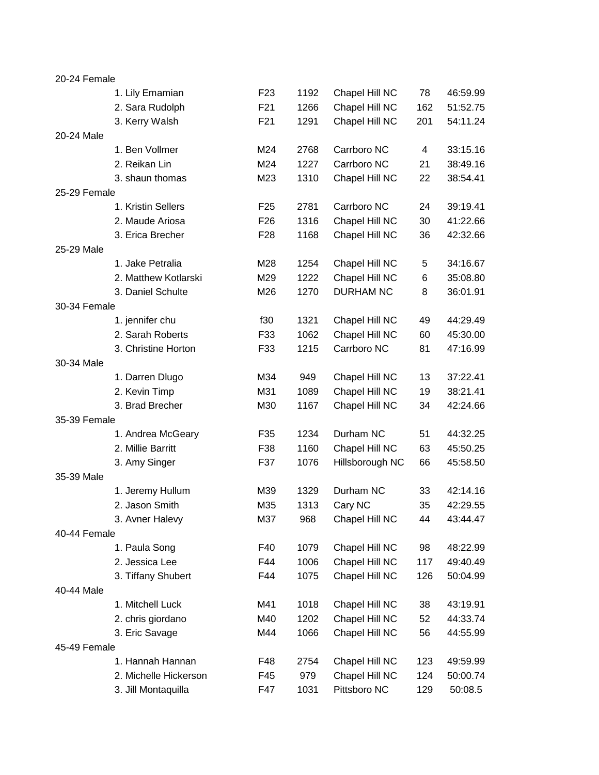| 20-24 Female |                       |                 |      |                  |     |          |
|--------------|-----------------------|-----------------|------|------------------|-----|----------|
|              | 1. Lily Emamian       | F <sub>23</sub> | 1192 | Chapel Hill NC   | 78  | 46:59.99 |
|              | 2. Sara Rudolph       | F21             | 1266 | Chapel Hill NC   | 162 | 51:52.75 |
|              | 3. Kerry Walsh        | F21             | 1291 | Chapel Hill NC   | 201 | 54:11.24 |
| 20-24 Male   |                       |                 |      |                  |     |          |
|              | 1. Ben Vollmer        | M24             | 2768 | Carrboro NC      | 4   | 33:15.16 |
|              | 2. Reikan Lin         | M24             | 1227 | Carrboro NC      | 21  | 38:49.16 |
|              | 3. shaun thomas       | M23             | 1310 | Chapel Hill NC   | 22  | 38:54.41 |
| 25-29 Female |                       |                 |      |                  |     |          |
|              | 1. Kristin Sellers    | F <sub>25</sub> | 2781 | Carrboro NC      | 24  | 39:19.41 |
|              | 2. Maude Ariosa       | F <sub>26</sub> | 1316 | Chapel Hill NC   | 30  | 41:22.66 |
|              | 3. Erica Brecher      | F <sub>28</sub> | 1168 | Chapel Hill NC   | 36  | 42:32.66 |
| 25-29 Male   |                       |                 |      |                  |     |          |
|              | 1. Jake Petralia      | M28             | 1254 | Chapel Hill NC   | 5   | 34:16.67 |
|              | 2. Matthew Kotlarski  | M29             | 1222 | Chapel Hill NC   | 6   | 35:08.80 |
|              | 3. Daniel Schulte     | M26             | 1270 | <b>DURHAM NC</b> | 8   | 36:01.91 |
| 30-34 Female |                       |                 |      |                  |     |          |
|              | 1. jennifer chu       | f30             | 1321 | Chapel Hill NC   | 49  | 44:29.49 |
|              | 2. Sarah Roberts      | F33             | 1062 | Chapel Hill NC   | 60  | 45:30.00 |
|              | 3. Christine Horton   | F33             | 1215 | Carrboro NC      | 81  | 47:16.99 |
| 30-34 Male   |                       |                 |      |                  |     |          |
|              | 1. Darren Dlugo       | M34             | 949  | Chapel Hill NC   | 13  | 37:22.41 |
|              | 2. Kevin Timp         | M31             | 1089 | Chapel Hill NC   | 19  | 38:21.41 |
|              | 3. Brad Brecher       | M30             | 1167 | Chapel Hill NC   | 34  | 42:24.66 |
| 35-39 Female |                       |                 |      |                  |     |          |
|              | 1. Andrea McGeary     | F35             | 1234 | Durham NC        | 51  | 44:32.25 |
|              | 2. Millie Barritt     | F38             | 1160 | Chapel Hill NC   | 63  | 45:50.25 |
|              | 3. Amy Singer         | F37             | 1076 | Hillsborough NC  | 66  | 45:58.50 |
| 35-39 Male   |                       |                 |      |                  |     |          |
|              | 1. Jeremy Hullum      | M39             | 1329 | Durham NC        | 33  | 42:14.16 |
|              | 2. Jason Smith        | M35             | 1313 | Cary NC          | 35  | 42:29.55 |
|              | 3. Avner Halevy       | M37             | 968  | Chapel Hill NC   | 44  | 43:44.47 |
| 40-44 Female |                       |                 |      |                  |     |          |
|              | 1. Paula Song         | F40             | 1079 | Chapel Hill NC   | 98  | 48:22.99 |
|              | 2. Jessica Lee        | F44             | 1006 | Chapel Hill NC   | 117 | 49:40.49 |
|              | 3. Tiffany Shubert    | F44             | 1075 | Chapel Hill NC   | 126 | 50:04.99 |
| 40-44 Male   |                       |                 |      |                  |     |          |
|              | 1. Mitchell Luck      | M41             | 1018 | Chapel Hill NC   | 38  | 43:19.91 |
|              | 2. chris giordano     | M40             | 1202 | Chapel Hill NC   | 52  | 44:33.74 |
|              | 3. Eric Savage        | M44             | 1066 | Chapel Hill NC   | 56  | 44:55.99 |
| 45-49 Female |                       |                 |      |                  |     |          |
|              | 1. Hannah Hannan      | F48             | 2754 | Chapel Hill NC   | 123 | 49:59.99 |
|              | 2. Michelle Hickerson | F45             | 979  | Chapel Hill NC   | 124 | 50:00.74 |
|              | 3. Jill Montaquilla   | F47             | 1031 | Pittsboro NC     | 129 | 50:08.5  |